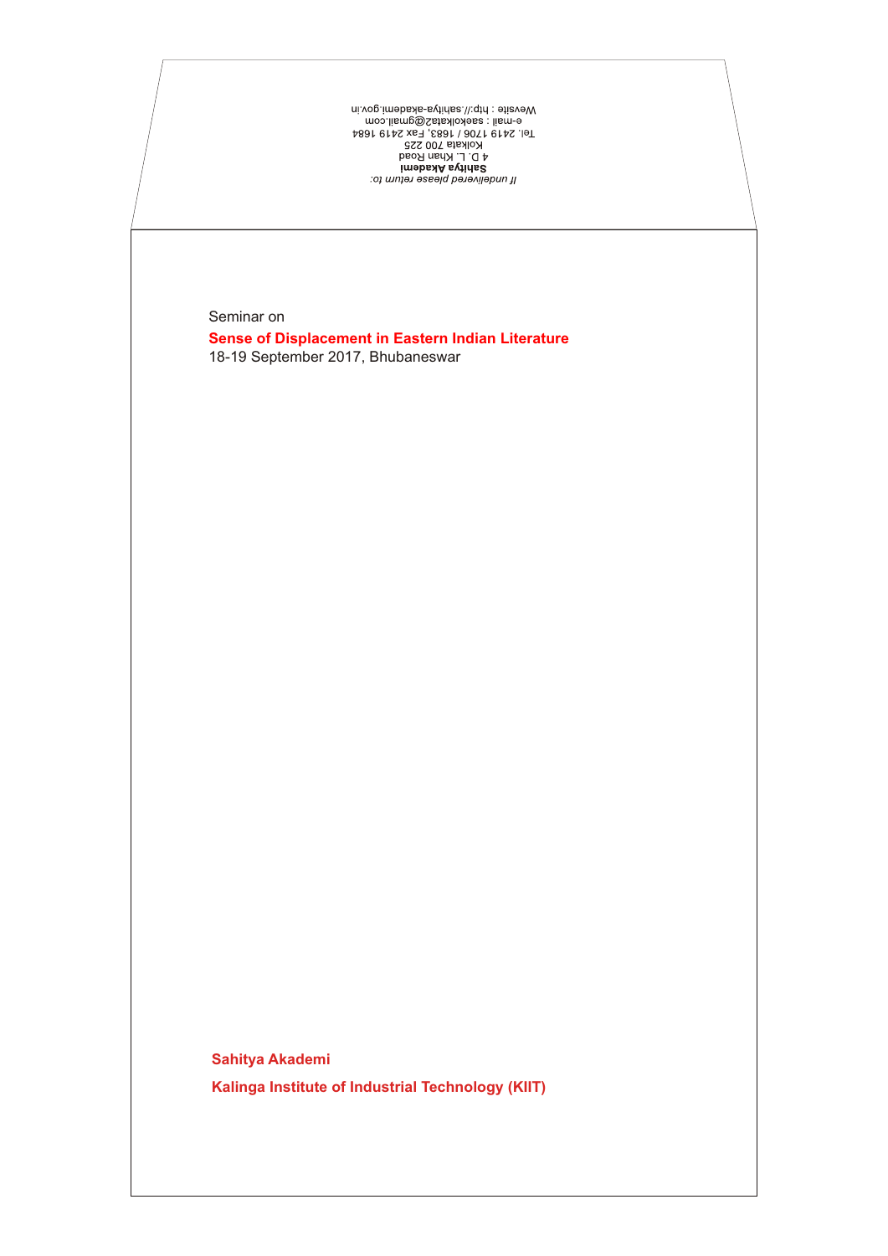Wevsite : http://.sahitya-akademi.gov.in/<br>1919 - 1924 1940 | 1984<br>1940 | 1994 | 1995, Fax 2419<br>1995 | 1997 | 1983<br>1995 | 1997 | 1997 | 1998<br>2009 | 1997 | 1999 | 1999<br>1999 | 1999 | 1999 | 1999<br>1999 | 1999 | 1999 | 1999<br>1999

Seminar on

18-19 September 2017, Bhubaneswar **Sense of Displacement in Eastern Indian Literature**

**Sahitya Akademi Kalinga Institute of Industrial Technology (KIIT)**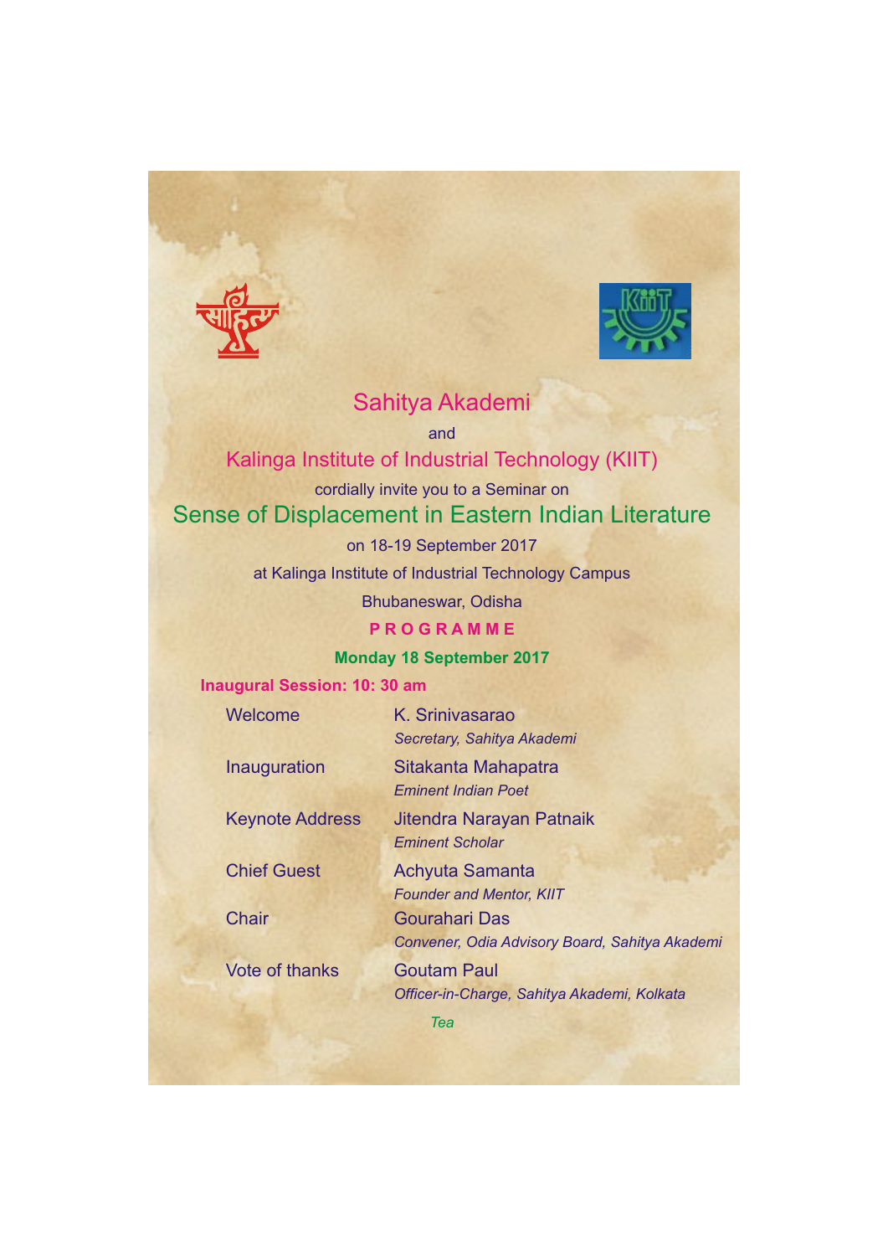



# Sahitya Akademi

and

## Kalinga Institute of Industrial Technology (KIIT)

cordially invite you to a Seminar on

## Sense of Displacement in Eastern Indian Literature

on 18-19 September 2017

at Kalinga Institute of Industrial Technology Campus

Bhubaneswar, Odisha

#### **P R O G R A M M E**

### **Monday 18 September 2017**

### **Inaugural Session: 10: 30 am**

| Welcome                | K. Srinivasarao<br>Secretary, Sahitya Akademi                     |
|------------------------|-------------------------------------------------------------------|
| Inauguration           | Sitakanta Mahapatra<br><b>Eminent Indian Poet</b>                 |
| <b>Keynote Address</b> | Jitendra Narayan Patnaik<br><b>Eminent Scholar</b>                |
| <b>Chief Guest</b>     | Achyuta Samanta<br><b>Founder and Mentor, KIIT</b>                |
| Chair                  | Gourahari Das<br>Convener, Odia Advisory Board, Sahitya Akademi   |
| <b>Vote of thanks</b>  | <b>Goutam Paul</b><br>Officer-in-Charge, Sahitya Akademi, Kolkata |
|                        | Tea                                                               |